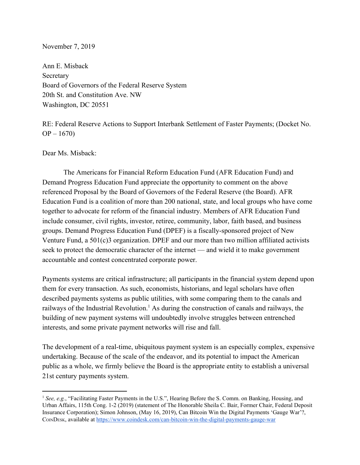#### November 7, 2019

Ann E. Misback Secretary Board of Governors of the Federal Reserve System 20th St. and Constitution Ave. NW Washington, DC 20551

RE: Federal Reserve Actions to Support Interbank Settlement of Faster Payments; (Docket No.  $OP - 1670$ 

Dear Ms. Misback:

The Americans for Financial Reform Education Fund (AFR Education Fund) and Demand Progress Education Fund appreciate the opportunity to comment on the above referenced Proposal by the Board of Governors of the Federal Reserve (the Board). AFR Education Fund is a coalition of more than 200 national, state, and local groups who have come together to advocate for reform of the financial industry. Members of AFR Education Fund include consumer, civil rights, investor, retiree, community, labor, faith based, and business groups. Demand Progress Education Fund (DPEF) is a fiscally-sponsored project of New Venture Fund, a 501(c)3 organization. DPEF and our more than two million affiliated activists seek to protect the democratic character of the internet — and wield it to make government accountable and contest concentrated corporate power.

Payments systems are critical infrastructure; all participants in the financial system depend upon them for every transaction. As such, economists, historians, and legal scholars have often described payments systems as public utilities, with some comparing them to the canals and railways of the Industrial Revolution.<sup>1</sup> As during the construction of canals and railways, the building of new payment systems will undoubtedly involve struggles between entrenched interests, and some private payment networks will rise and fall.

The development of a real-time, ubiquitous payment system is an especially complex, expensive undertaking. Because of the scale of the endeavor, and its potential to impact the American public as a whole, we firmly believe the Board is the appropriate entity to establish a universal 21st century payments system.

<sup>1</sup> *See, e.g.*, "Facilitating Faster Payments in the U.S.", Hearing Before the S. Comm. on Banking, Housing, and Urban Affairs, 115th Cong. 1-2 (2019) (statement of The Honorable Sheila C. Bair, Former Chair, Federal Deposit Insurance Corporation); Simon Johnson, (May 16, 2019), Can Bitcoin Win the Digital Payments 'Gauge War'?, COINDESK, available at <https://www.coindesk.com/can-bitcoin-win-the-digital-payments-gauge-war>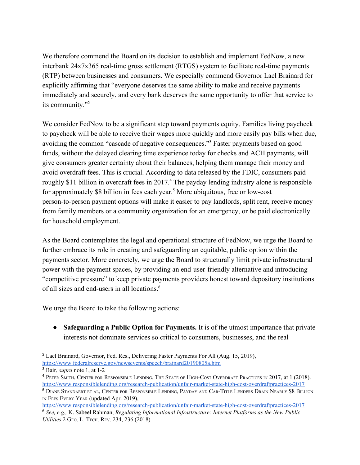We therefore commend the Board on its decision to establish and implement FedNow, a new interbank 24x7x365 real-time gross settlement (RTGS) system to facilitate real-time payments (RTP) between businesses and consumers. We especially commend Governor Lael Brainard for explicitly affirming that "everyone deserves the same ability to make and receive payments immediately and securely, and every bank deserves the same opportunity to offer that service to its community."<sup>2</sup>

We consider FedNow to be a significant step toward payments equity. Families living paycheck to paycheck will be able to receive their wages more quickly and more easily pay bills when due, avoiding the common "cascade of negative consequences."<sup>3</sup> Faster payments based on good funds, without the delayed clearing time experience today for checks and ACH payments, will give consumers greater certainty about their balances, helping them manage their money and avoid overdraft fees. This is crucial. According to data released by the FDIC, consumers paid roughly \$11 billion in overdraft fees in 2017.<sup>4</sup> The payday lending industry alone is responsible for approximately \$8 billion in fees each year.<sup>5</sup> More ubiquitous, free or low-cost person-to-person payment options will make it easier to pay landlords, split rent, receive money from family members or a community organization for an emergency, or be paid electronically for household employment.

As the Board contemplates the legal and operational structure of FedNow, we urge the Board to further embrace its role in creating and safeguarding an equitable, public option within the payments sector. More concretely, we urge the Board to structurally limit private infrastructural power with the payment spaces, by providing an end-user-friendly alternative and introducing "competitive pressure" to keep private payments providers honest toward depository institutions of all sizes and end-users in all locations.<sup>6</sup>

We urge the Board to take the following actions:

● **Safeguarding a Public Option for Payments.** It is of the utmost importance that private interests not dominate services so critical to consumers, businesses, and the real

<sup>2</sup> Lael Brainard, Governor, Fed. Res., Delivering Faster Payments For All (Aug. 15, 2019), <https://www.federalreserve.gov/newsevents/speech/brainard20190805a.htm>

<sup>3</sup> Bair, *supra* note 1, at 1-2

<sup>4</sup> PETER SMITH, CENTER FOR RESPONSIBLE LENDING, THE STATE OF HIGH-COST OVERDRAFT PRACTICES IN 2017, at 1 (2018). <https://www.responsiblelending.org/research-publication/unfair-market-state-high-cost-overdraftpractices-2017>

<sup>5</sup> DIANE STANDAERT ET AL, CENTER FOR RESPONSIBLE LENDING, PAYDAY AND CAR-TITLE LENDERS DRAIN NEARLY \$8 BILLION IN FEES EVERY YEAR (updated Apr. 2019),

<https://www.responsiblelending.org/research-publication/unfair-market-state-high-cost-overdraftpractices-2017> <sup>6</sup> *See, e.g.,* K. Sabeel Rahman, *Regulating Informational Infrastructure: Internet Platforms as the New Public Utilities* 2 GEO. L. TECH. REV. 234, 236 (2018)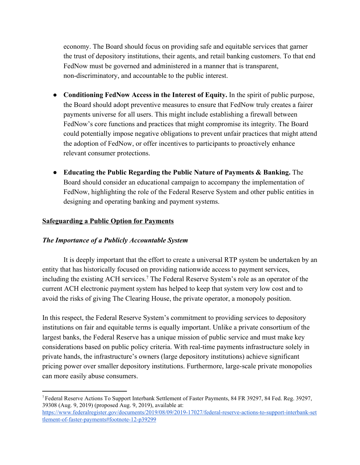economy. The Board should focus on providing safe and equitable services that garner the trust of depository institutions, their agents, and retail banking customers. To that end FedNow must be governed and administered in a manner that is transparent, non-discriminatory, and accountable to the public interest.

- **Conditioning FedNow Access in the Interest of Equity.** In the spirit of public purpose, the Board should adopt preventive measures to ensure that FedNow truly creates a fairer payments universe for all users. This might include establishing a firewall between FedNow's core functions and practices that might compromise its integrity. The Board could potentially impose negative obligations to prevent unfair practices that might attend the adoption of FedNow, or offer incentives to participants to proactively enhance relevant consumer protections.
- **Educating the Public Regarding the Public Nature of Payments & Banking.** The Board should consider an educational campaign to accompany the implementation of FedNow, highlighting the role of the Federal Reserve System and other public entities in designing and operating banking and payment systems.

## **Safeguarding a Public Option for Payments**

### *The Importance of a Publicly Accountable System*

It is deeply important that the effort to create a universal RTP system be undertaken by an entity that has historically focused on providing nationwide access to payment services, including the existing ACH services.<sup>7</sup> The Federal Reserve System's role as an operator of the current ACH electronic payment system has helped to keep that system very low cost and to avoid the risks of giving The Clearing House, the private operator, a monopoly position.

In this respect, the Federal Reserve System's commitment to providing services to depository institutions on fair and equitable terms is equally important. Unlike a private consortium of the largest banks, the Federal Reserve has a unique mission of public service and must make key considerations based on public policy criteria. With real-time payments infrastructure solely in private hands, the infrastructure's owners (large depository institutions) achieve significant pricing power over smaller depository institutions. Furthermore, large-scale private monopolies can more easily abuse consumers.

<sup>7</sup> Federal Reserve Actions To Support Interbank Settlement of Faster Payments, 84 FR 39297, 84 Fed. Reg. 39297, 39308 (Aug. 9, 2019) (proposed Aug. 9, 2019), available at: [https://www.federalregister.gov/documents/2019/08/09/2019-17027/federal-reserve-actions-to-support-interbank-set](https://www.federalregister.gov/documents/2019/08/09/2019-17027/federal-reserve-actions-to-support-interbank-settlement-of-faster-payments#footnote-12-p39299) [tlement-of-faster-payments#footnote-12-p39299](https://www.federalregister.gov/documents/2019/08/09/2019-17027/federal-reserve-actions-to-support-interbank-settlement-of-faster-payments#footnote-12-p39299)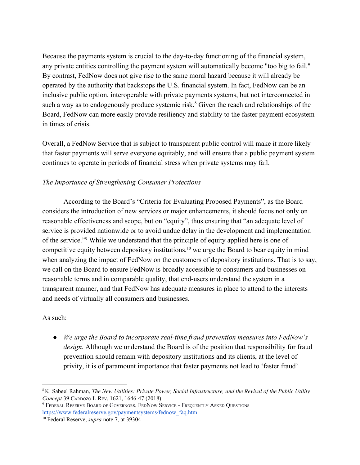Because the payments system is crucial to the day-to-day functioning of the financial system, any private entities controlling the payment system will automatically become "too big to fail." By contrast, FedNow does not give rise to the same moral hazard because it will already be operated by the authority that backstops the U.S. financial system. In fact, FedNow can be an inclusive public option, interoperable with private payments systems, but not interconnected in such a way as to endogenously produce systemic risk.<sup>8</sup> Given the reach and relationships of the Board, FedNow can more easily provide resiliency and stability to the faster payment ecosystem in times of crisis.

Overall, a FedNow Service that is subject to transparent public control will make it more likely that faster payments will serve everyone equitably, and will ensure that a public payment system continues to operate in periods of financial stress when private systems may fail.

### *The Importance of Strengthening Consumer Protections*

According to the Board's "Criteria for Evaluating Proposed Payments", as the Board considers the introduction of new services or major enhancements, it should focus not only on reasonable effectiveness and scope, but on "equity", thus ensuring that "an adequate level of service is provided nationwide or to avoid undue delay in the development and implementation of the service."<sup>9</sup> While we understand that the principle of equity applied here is one of competitive equity between depository institutions,  $10$  we urge the Board to bear equity in mind when analyzing the impact of FedNow on the customers of depository institutions. That is to say, we call on the Board to ensure FedNow is broadly accessible to consumers and businesses on reasonable terms and in comparable quality, that end-users understand the system in a transparent manner, and that FedNow has adequate measures in place to attend to the interests and needs of virtually all consumers and businesses.

#### As such:

*● We urge the Board to incorporate real-time fraud prevention measures into FedNow's design.* Although we understand the Board is of the position that responsibility for fraud prevention should remain with depository institutions and its clients, at the level of privity, it is of paramount importance that faster payments not lead to 'faster fraud'

<sup>8</sup> K. Sabeel Rahman, *The New Utilities: Private Power, Social Infrastructure, and the Revival of the Public Utility Concept* 39 CARDOZO L REV. 1621, 1646-47 (2018)

<sup>9</sup> FEDERAL RESERVE BOARD OF GOVERNORS, FEDNOW SERVICE - FREQUENTLY ASKED QUESTIONS [https://www.federalreserve.gov/paymentsystems/fednow\\_faq.htm](https://www.federalreserve.gov/paymentsystems/fednow_faq.htm)

<sup>10</sup> Federal Reserve, *supra* note 7, at 39304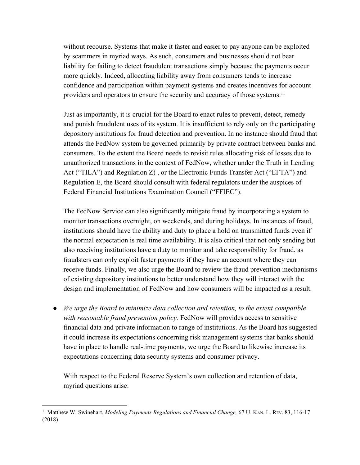without recourse. Systems that make it faster and easier to pay anyone can be exploited by scammers in myriad ways. As such, consumers and businesses should not bear liability for failing to detect fraudulent transactions simply because the payments occur more quickly. Indeed, allocating liability away from consumers tends to increase confidence and participation within payment systems and creates incentives for account providers and operators to ensure the security and accuracy of those systems.<sup>11</sup>

Just as importantly, it is crucial for the Board to enact rules to prevent, detect, remedy and punish fraudulent uses of its system. It is insufficient to rely only on the participating depository institutions for fraud detection and prevention. In no instance should fraud that attends the FedNow system be governed primarily by private contract between banks and consumers. To the extent the Board needs to revisit rules allocating risk of losses due to unauthorized transactions in the context of FedNow, whether under the Truth in Lending Act ("TILA") and Regulation Z) , or the Electronic Funds Transfer Act ("EFTA") and Regulation E, the Board should consult with federal regulators under the auspices of Federal Financial Institutions Examination Council ("FFIEC").

The FedNow Service can also significantly mitigate fraud by incorporating a system to monitor transactions overnight, on weekends, and during holidays. In instances of fraud, institutions should have the ability and duty to place a hold on transmitted funds even if the normal expectation is real time availability. It is also critical that not only sending but also receiving institutions have a duty to monitor and take responsibility for fraud, as fraudsters can only exploit faster payments if they have an account where they can receive funds. Finally, we also urge the Board to review the fraud prevention mechanisms of existing depository institutions to better understand how they will interact with the design and implementation of FedNow and how consumers will be impacted as a result.

● *We urge the Board to minimize data collection and retention, to the extent compatible* with reasonable fraud prevention policy. FedNow will provides access to sensitive financial data and private information to range of institutions. As the Board has suggested it could increase its expectations concerning risk management systems that banks should have in place to handle real-time payments, we urge the Board to likewise increase its expectations concerning data security systems and consumer privacy.

With respect to the Federal Reserve System's own collection and retention of data, myriad questions arise:

<sup>11</sup> Matthew W. Swinehart, *Modeling Payments Regulations and Financial Change,* 67 U. KAN. L. REV. 83, 116-17 (2018)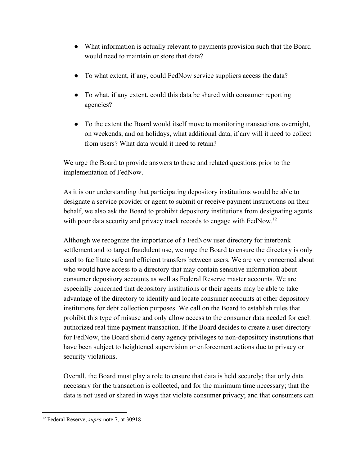- What information is actually relevant to payments provision such that the Board would need to maintain or store that data?
- To what extent, if any, could FedNow service suppliers access the data?
- To what, if any extent, could this data be shared with consumer reporting agencies?
- To the extent the Board would itself move to monitoring transactions overnight, on weekends, and on holidays, what additional data, if any will it need to collect from users? What data would it need to retain?

We urge the Board to provide answers to these and related questions prior to the implementation of FedNow.

As it is our understanding that participating depository institutions would be able to designate a service provider or agent to submit or receive payment instructions on their behalf, we also ask the Board to prohibit depository institutions from designating agents with poor data security and privacy track records to engage with FedNow.<sup>12</sup>

Although we recognize the importance of a FedNow user directory for interbank settlement and to target fraudulent use, we urge the Board to ensure the directory is only used to facilitate safe and efficient transfers between users. We are very concerned about who would have access to a directory that may contain sensitive information about consumer depository accounts as well as Federal Reserve master accounts. We are especially concerned that depository institutions or their agents may be able to take advantage of the directory to identify and locate consumer accounts at other depository institutions for debt collection purposes. We call on the Board to establish rules that prohibit this type of misuse and only allow access to the consumer data needed for each authorized real time payment transaction. If the Board decides to create a user directory for FedNow, the Board should deny agency privileges to non-depository institutions that have been subject to heightened supervision or enforcement actions due to privacy or security violations.

Overall, the Board must play a role to ensure that data is held securely; that only data necessary for the transaction is collected, and for the minimum time necessary; that the data is not used or shared in ways that violate consumer privacy; and that consumers can

<sup>12</sup> Federal Reserve, *supra* note 7, at 30918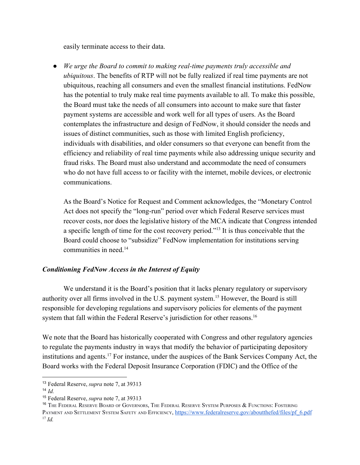easily terminate access to their data.

● *We urge the Board to commit to making real-time payments truly accessible and ubiquitous*. The benefits of RTP will not be fully realized if real time payments are not ubiquitous, reaching all consumers and even the smallest financial institutions. FedNow has the potential to truly make real time payments available to all. To make this possible, the Board must take the needs of all consumers into account to make sure that faster payment systems are accessible and work well for all types of users. As the Board contemplates the infrastructure and design of FedNow, it should consider the needs and issues of distinct communities, such as those with limited English proficiency, individuals with disabilities, and older consumers so that everyone can benefit from the efficiency and reliability of real time payments while also addressing unique security and fraud risks. The Board must also understand and accommodate the need of consumers who do not have full access to or facility with the internet, mobile devices, or electronic communications.

As the Board's Notice for Request and Comment acknowledges, the "Monetary Control Act does not specify the "long-run" period over which Federal Reserve services must recover costs, nor does the legislative history of the MCA indicate that Congress intended a specific length of time for the cost recovery period."<sup>13</sup> It is thus conceivable that the Board could choose to "subsidize" FedNow implementation for institutions serving communities in need  $14$ 

### *Conditioning FedNow Access in the Interest of Equity*

We understand it is the Board's position that it lacks plenary regulatory or supervisory authority over all firms involved in the U.S. payment system.<sup>15</sup> However, the Board is still responsible for developing regulations and supervisory policies for elements of the payment system that fall within the Federal Reserve's jurisdiction for other reasons.<sup>16</sup>

We note that the Board has historically cooperated with Congress and other regulatory agencies to regulate the payments industry in ways that modify the behavior of participating depository institutions and agents.<sup>17</sup> For instance, under the auspices of the Bank Services Company Act, the Board works with the Federal Deposit Insurance Corporation (FDIC) and the Office of the

<sup>13</sup> Federal Reserve, *supra* note 7, at 39313

<sup>14</sup> *Id.*

<sup>15</sup> Federal Reserve, *supra* note 7, at 39313

<sup>&</sup>lt;sup>16</sup> The Federal Reserve Board of Governors, The Federal Reserve System Purposes & Functions: Fostering PAYMENT AND SETTLEMENT SYSTEM SAFETY AND EFFICIENCY, [https://www.federalreserve.gov/aboutthefed/files/pf\\_6.pdf](https://www.federalreserve.gov/aboutthefed/files/pf_6.pdf) <sup>17</sup> *Id.*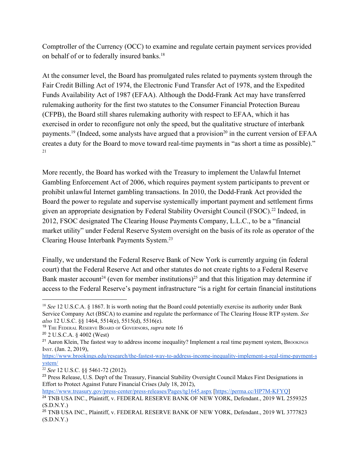Comptroller of the Currency (OCC) to examine and regulate certain payment services provided on behalf of or to federally insured banks.<sup>18</sup>

At the consumer level, the Board has promulgated rules related to payments system through the Fair Credit Billing Act of 1974, the Electronic Fund Transfer Act of 1978, and the Expedited Funds Availability Act of 1987 (EFAA). Although the Dodd-Frank Act may have transferred rulemaking authority for the first two statutes to the Consumer Financial Protection Bureau (CFPB), the Board still shares rulemaking authority with respect to EFAA, which it has exercised in order to reconfigure not only the speed, but the qualitative structure of interbank payments.<sup>19</sup> (Indeed, some analysts have argued that a provision<sup>20</sup> in the current version of EFAA creates a duty for the Board to move toward real-time payments in "as short a time as possible)." 21

More recently, the Board has worked with the Treasury to implement the Unlawful Internet Gambling Enforcement Act of 2006, which requires payment system participants to prevent or prohibit unlawful Internet gambling transactions. In 2010, the Dodd-Frank Act provided the Board the power to regulate and supervise systemically important payment and settlement firms given an appropriate designation by Federal Stability Oversight Council (FSOC).<sup>22</sup> Indeed, in 2012, FSOC designated The Clearing House Payments Company, L.L.C., to be a "financial market utility" under Federal Reserve System oversight on the basis of its role as operator of the Clearing House Interbank Payments System.<sup>23</sup>

Finally, we understand the Federal Reserve Bank of New York is currently arguing (in federal court) that the Federal Reserve Act and other statutes do not create rights to a Federal Reserve Bank master account<sup>24</sup> (even for member institutions)<sup>25</sup> and that this litigation may determine if access to the Federal Reserve's payment infrastructure "is a right for certain financial institutions

<https://www.treasury.gov/press-center/press-releases/Pages/tg1645.aspx> [\[https://perma.cc/HP7M-KFYQ](https://perma.cc/HP7M-KFYQ)]

<sup>&</sup>lt;sup>18</sup> *See* 12 U.S.C.A. § 1867. It is worth noting that the Board could potentially exercise its authority under Bank Service Company Act (BSCA) to examine and regulate the performance of The Clearing House RTP system. *See also* 12 U.S.C. §§ 1464, 5514(e), 5515(d), 5516(e).

<sup>19</sup> THE FEDERAL RESERVE BOARD OF GOVERNORS, *supra* note 16

<sup>20</sup> 2 U.S.C.A. § 4002 (West)

<sup>&</sup>lt;sup>21</sup> Aaron Klein, The fastest way to address income inequality? Implement a real time payment system, BROOKINGS INST. (Jan. 2, 2019),

[https://www.brookings.edu/research/the-fastest-way-to-address-income-inequality-implement-a-real-time-payment-s](https://www.brookings.edu/research/the-fastest-way-to-address-income-inequality-implement-a-real-time-payment-system/) [ystem/](https://www.brookings.edu/research/the-fastest-way-to-address-income-inequality-implement-a-real-time-payment-system/)

<sup>22</sup> *See* 12 U.S.C. §§ 5461-72 (2012).

<sup>&</sup>lt;sup>23</sup> Press Release, U.S. Dep't of the Treasury, Financial Stability Oversight Council Makes First Designations in Effort to Protect Against Future Financial Crises (July 18, 2012),

<sup>&</sup>lt;sup>24</sup> TNB USA INC., Plaintiff, v. FEDERAL RESERVE BANK OF NEW YORK, Defendant., 2019 WL 2559325  $(S.D.N.Y.)$ 

<sup>&</sup>lt;sup>25</sup> TNB USA INC., Plaintiff, v. FEDERAL RESERVE BANK OF NEW YORK, Defendant., 2019 WL 3777823  $(S.D.N.Y.)$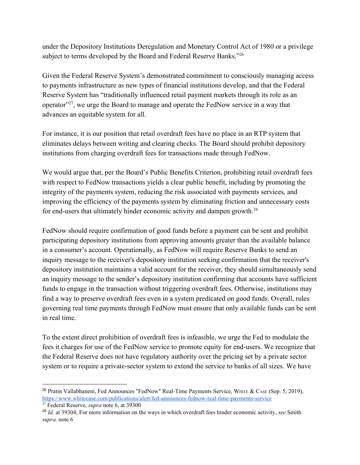under the Depository Institutions Deregulation and Monetary Control Act of 1980 or a privilege subject to terms developed by the Board and Federal Reserve Banks."<sup>26</sup>

Given the Federal Reserve System's demonstrated commitment to consciously managing access to payments infrastructure as new types of financial institutions develop, and that the Federal Reserve System has "traditionally influenced retail payment markets through its role as an operator"<sup>27</sup>, we urge the Board to manage and operate the FedNow service in a way that advances an equitable system for all.

For instance, it is our position that retail overdraft fees have no place in an RTP system that eliminates delays between writing and clearing checks. The Board should prohibit depository institutions from charging overdraft fees for transactions made through FedNow.

We would argue that, per the Board's Public Benefits Criterion, prohibiting retail overdraft fees with respect to FedNow transactions yields a clear public benefit, including by promoting the integrity of the payments system, reducing the risk associated with payments services, and improving the efficiency of the payments system by eliminating friction and unnecessary costs for end-users that ultimately hinder economic activity and dampen growth.<sup>28</sup>

FedNow should require confirmation of good funds before a payment can be sent and prohibit participating depository institutions from approving amounts greater than the available balance in a consumer's account. Operationally, as FedNow will require Reserve Banks to send an inquiry message to the receiver's depository institution seeking confirmation that the receiver's depository institution maintains a valid account for the receiver, they should simultaneously send an inquiry message to the sender's depository institution confirming that accounts have sufficient funds to engage in the transaction without triggering overdraft fees. Otherwise, institutions may find a way to preserve overdraft fees even in a system predicated on good funds. Overall, rules governing real time payments through FedNow must ensure that only available funds can be sent in real time.

To the extent direct prohibition of overdraft fees is infeasible, we urge the Fed to modulate the fees it charges for use of the FedNow service to promote equity for end-users. We recognize that the Federal Reserve does not have regulatory authority over the pricing set by a private sector system or to require a private-sector system to extend the service to banks of all sizes. We have

<sup>&</sup>lt;sup>26</sup> Pratin Vallabhaneni, Fed Announces "FedNow" Real-Time Payments Service, WHITE & CASE (Sep. 5, 2019), <https://www.whitecase.com/publications/alert/fed-announces-fednow-real-time-payments-service> <sup>27</sup> Federal Reserve, *supra* note 6, at 39300

<sup>28</sup> *Id.* at 39304; For more information on the ways in which overdraft fees hinder economic activity, *see* Smith *supra,* note 6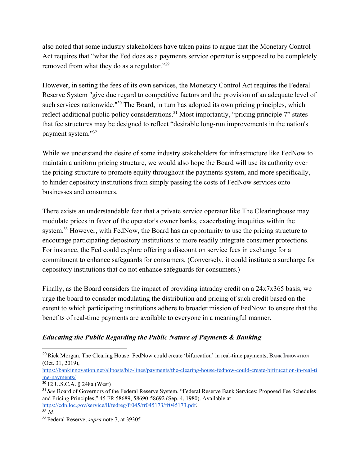also noted that some industry stakeholders have taken pains to argue that the Monetary Control Act requires that "what the Fed does as a payments service operator is supposed to be completely removed from what they do as a regulator."<sup>29</sup>

However, in setting the fees of its own services, the Monetary Control Act requires the Federal Reserve System "give due regard to competitive factors and the provision of an adequate level of such services nationwide." $30$  The Board, in turn has adopted its own pricing principles, which reflect additional public policy considerations.<sup>31</sup> Most importantly, "pricing principle  $7$ " states that fee structures may be designed to reflect "desirable long-run improvements in the nation's payment system."<sup>32</sup>

While we understand the desire of some industry stakeholders for infrastructure like FedNow to maintain a uniform pricing structure, we would also hope the Board will use its authority over the pricing structure to promote equity throughout the payments system, and more specifically, to hinder depository institutions from simply passing the costs of FedNow services onto businesses and consumers.

There exists an understandable fear that a private service operator like The Clearinghouse may modulate prices in favor of the operator's owner banks, exacerbating inequities within the system.<sup>33</sup> However, with FedNow, the Board has an opportunity to use the pricing structure to encourage participating depository institutions to more readily integrate consumer protections. For instance, the Fed could explore offering a discount on service fees in exchange for a commitment to enhance safeguards for consumers. (Conversely, it could institute a surcharge for depository institutions that do not enhance safeguards for consumers.)

Finally, as the Board considers the impact of providing intraday credit on a 24x7x365 basis, we urge the board to consider modulating the distribution and pricing of such credit based on the extent to which participating institutions adhere to broader mission of FedNow: to ensure that the benefits of real-time payments are available to everyone in a meaningful manner.

# *Educating the Public Regarding the Public Nature of Payments & Banking*

[https://bankinnovation.net/allposts/biz-lines/payments/the-clearing-house-fednow-could-create-bifirucation-in-real-ti](https://bankinnovation.net/allposts/biz-lines/payments/the-clearing-house-fednow-could-create-bifirucation-in-real-time-payments/) [me-payments/](https://bankinnovation.net/allposts/biz-lines/payments/the-clearing-house-fednow-could-create-bifirucation-in-real-time-payments/)

<sup>&</sup>lt;sup>29</sup> Rick Morgan, The Clearing House: FedNow could create 'bifurcation' in real-time payments, BANK INNOVATION (Oct. 31, 2019),

<sup>30</sup> 12 U.S.C.A. § 248a (West)

<sup>31</sup> *See* Board of Governors of the Federal Reserve System, "Federal Reserve Bank Services; Proposed Fee Schedules and Pricing Principles," 45 FR 58689, 58690-58692 (Sep. 4, 1980). Available at <https://cdn.loc.gov/service/ll/fedreg/fr045/fr045173/fr045173.pdf>.

 $32 \dot{I}$ 

<sup>33</sup> Federal Reserve, *supra* note 7, at 39305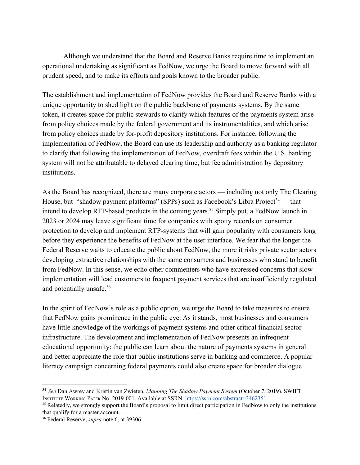Although we understand that the Board and Reserve Banks require time to implement an operational undertaking as significant as FedNow, we urge the Board to move forward with all prudent speed, and to make its efforts and goals known to the broader public.

The establishment and implementation of FedNow provides the Board and Reserve Banks with a unique opportunity to shed light on the public backbone of payments systems. By the same token, it creates space for public stewards to clarify which features of the payments system arise from policy choices made by the federal government and its instrumentalities, and which arise from policy choices made by for-profit depository institutions. For instance, following the implementation of FedNow, the Board can use its leadership and authority as a banking regulator to clarify that following the implementation of FedNow, overdraft fees within the U.S. banking system will not be attributable to delayed clearing time, but fee administration by depository institutions.

As the Board has recognized, there are many corporate actors — including not only The Clearing House, but "shadow payment platforms" (SPPs) such as Facebook's Libra Project<sup>34</sup> — that intend to develop RTP-based products in the coming years.<sup>35</sup> Simply put, a FedNow launch in 2023 or 2024 may leave significant time for companies with spotty records on consumer protection to develop and implement RTP-systems that will gain popularity with consumers long before they experience the benefits of FedNow at the user interface. We fear that the longer the Federal Reserve waits to educate the public about FedNow, the more it risks private sector actors developing extractive relationships with the same consumers and businesses who stand to benefit from FedNow. In this sense, we echo other commenters who have expressed concerns that slow implementation will lead customers to frequent payment services that are insufficiently regulated and potentially unsafe.<sup>36</sup>

In the spirit of FedNow's role as a public option, we urge the Board to take measures to ensure that FedNow gains prominence in the public eye. As it stands, most businesses and consumers have little knowledge of the workings of payment systems and other critical financial sector infrastructure. The development and implementation of FedNow presents an infrequent educational opportunity: the public can learn about the nature of payments systems in general and better appreciate the role that public institutions serve in banking and commerce. A popular literacy campaign concerning federal payments could also create space for broader dialogue

<sup>34</sup> *See* Dan Awrey and Kristin van Zwieten, *Mapping The Shadow Payment System* (October 7, 2019). SWIFT INSTITUTE WORKING PAPER NO. 2019-001. Available at SSRN: <https://ssrn.com/abstract=3462351>

<sup>&</sup>lt;sup>35</sup> Relatedly, we strongly support the Board's proposal to limit direct participation in FedNow to only the institutions that qualify for a master account.

<sup>36</sup> Federal Reserve, *supra* note 6, at 39306